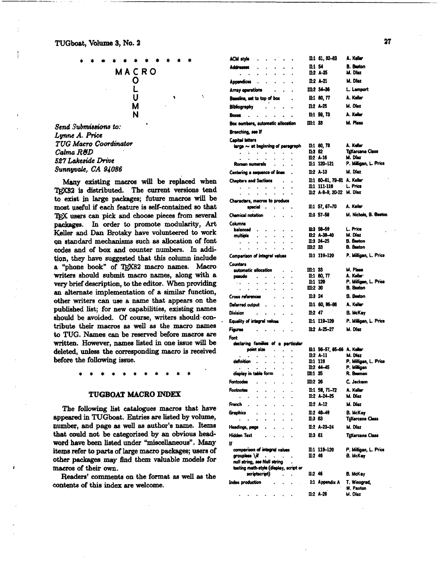

*Send* **Svbmisaiona** *to: Lyrne A. Price*  **TUG** *Macro Coordinator Calm R&D 527 Lakeside Drive Sunnyvale, CA 94086* 

Many existing macros will be replaced when TRX82 is distributed. The current versions tend to exisrt **ip** Iarge pachges; future macros will be most useful if each feature is self-contained so that TRX users can pick and choose pieces from several packages. In order to promote modularity, Art Keller and **Dan** Brotaky have volunteered to work on standard mebnima such **as** allocation of font codea **and** of box and counter numbers. In addi**tion,** they have suggested that this column include a "phone book" of TEX82 macro names. Macro **writers** should submit macro names, along with a very brief description, to the editor. **When** providing **an** alternate implementation of a **similar** function, other writers **can** *we* a name that appears on the published list; for new capabilities, existing names should be avoided. Of **course,** writers should contribute their macros as well as the macro names to TUG. **Names** can be reserved before macros **are**  written. However, names listed in one issue will be deleted, unless the corresponding macro is received before the following issue.

## **TUGBOAT MACRO** INDEX

**The** following list catalogues **macros** that have appeared in TUGboat. Entries **are** listed **by** volume, number, and page as well as author's name. Items that could not be categorized by **an** obvious headword have **been** listed under "miscellaneous". Many items refer to parts of large macro packages; users of other **psckages** may find them valuable models for macros of their own.

**Readera'** comments on the format **as** well **ae** the contents of this **index** are welcome.

| ACM style a care in the set of the set of the set of the set of the set of the set of the set of the set of the<br>$\bullet$                                                                                                                                                                                                                                                                                                           | $II:1$ $01.82-03$            | A. Keller                               |  |  |  |  |  |  |
|----------------------------------------------------------------------------------------------------------------------------------------------------------------------------------------------------------------------------------------------------------------------------------------------------------------------------------------------------------------------------------------------------------------------------------------|------------------------------|-----------------------------------------|--|--|--|--|--|--|
| Addresses<br>$\bullet$<br>٠                                                                                                                                                                                                                                                                                                                                                                                                            | $II:1$ 54                    | <b>B.</b> Beston                        |  |  |  |  |  |  |
| $\sim$<br>$\sim$<br>$\mathbf{r} = \mathbf{r} \mathbf{r}$ .<br>$\ddot{\phantom{a}}$<br>$\bullet$                                                                                                                                                                                                                                                                                                                                        | II:2 A-35                    | M. Diez                                 |  |  |  |  |  |  |
| Appendices<br>$\mathbf{u} = \mathbf{u}$ .<br>$\blacksquare$                                                                                                                                                                                                                                                                                                                                                                            | II:2 A-21                    | M. Diaz                                 |  |  |  |  |  |  |
| Array operations .<br>$\mathcal{A}$<br>$\ddot{\phantom{0}}$                                                                                                                                                                                                                                                                                                                                                                            | Ш:2 34—36                    | L. Lemport                              |  |  |  |  |  |  |
| Basalina, set to top of box                                                                                                                                                                                                                                                                                                                                                                                                            | II: 50, 77                   | A. Keller                               |  |  |  |  |  |  |
| Bibliography                                                                                                                                                                                                                                                                                                                                                                                                                           | $11.2$ A-25                  | M. Diez                                 |  |  |  |  |  |  |
| <b>Boxes</b><br>$\bullet$ .<br>٠                                                                                                                                                                                                                                                                                                                                                                                                       | II:1 59, 73                  | A. Keller                               |  |  |  |  |  |  |
| Box numbers, automatic allocation                                                                                                                                                                                                                                                                                                                                                                                                      | III:1 33                     | M. Plass                                |  |  |  |  |  |  |
| Branching, see If                                                                                                                                                                                                                                                                                                                                                                                                                      |                              |                                         |  |  |  |  |  |  |
| Capital letters                                                                                                                                                                                                                                                                                                                                                                                                                        |                              |                                         |  |  |  |  |  |  |
| targe $\sim$ at beginning of peragraph                                                                                                                                                                                                                                                                                                                                                                                                 | II:1 50 78                   | A. Keller                               |  |  |  |  |  |  |
| $\begin{array}{cccccccccc} \mathbf{1} & \mathbf{3} & \mathbf{4} & \mathbf{5} & \mathbf{5} & \mathbf{6} & \mathbf{7} & \mathbf{8} & \mathbf{8} \\ \mathbf{1} & \mathbf{1} & \mathbf{1} & \mathbf{1} & \mathbf{1} & \mathbf{1} & \mathbf{1} & \mathbf{1} & \mathbf{1} \\ \mathbf{1} & \mathbf{1} & \mathbf{1} & \mathbf{1} & \mathbf{1} & \mathbf{1} & \mathbf{1} & \mathbf{1} & \mathbf{1} \\ \mathbf{1} & \mathbf{1} & \mathbf{1} & \$ | 11:3 62                      | TriXarcana Class                        |  |  |  |  |  |  |
| Roman numerals and all                                                                                                                                                                                                                                                                                                                                                                                                                 | II:2 A-16<br>11:1 120–121    | M. Diaz<br>P. Milligan, L. Price        |  |  |  |  |  |  |
|                                                                                                                                                                                                                                                                                                                                                                                                                                        | $II:2 A-13$                  | M. Díaz                                 |  |  |  |  |  |  |
| Centering a sequence of lines                                                                                                                                                                                                                                                                                                                                                                                                          |                              | $\cdot$                                 |  |  |  |  |  |  |
| Chapters and Sections .<br>$\mathbf{r} = \mathbf{r} - \mathbf{r} - \mathbf{r} - \mathbf{r}$ .<br>$\sim$<br>$\ddot{\phantom{0}}$                                                                                                                                                                                                                                                                                                        | II:1 111-118                 | II:1 60–61, 79–81 A. Keller<br>L. Price |  |  |  |  |  |  |
| $\sim$<br>$\bullet$ .<br><br><br><br><br><br><br><br><br><br><br><br><br><br><br><br><br>$\sim$<br>$\bullet$ .                                                                                                                                                                                                                                                                                                                         |                              | II:2 A-8-9, 20-22 M. Diaz               |  |  |  |  |  |  |
| Characters, macros to produce                                                                                                                                                                                                                                                                                                                                                                                                          |                              |                                         |  |  |  |  |  |  |
| special                                                                                                                                                                                                                                                                                                                                                                                                                                | $II:1$ 57, 67–70             | A. Keller                               |  |  |  |  |  |  |
| Chemical notation .<br>$\bullet$ .                                                                                                                                                                                                                                                                                                                                                                                                     | $II:3$ 57-58                 | M. Nichols, B. Beeton                   |  |  |  |  |  |  |
| Columna                                                                                                                                                                                                                                                                                                                                                                                                                                |                              |                                         |  |  |  |  |  |  |
| balanced<br>$\ddot{\phantom{0}}$<br>$\mathbf{r}$<br>$\bullet$ .<br>$\bullet$<br>$\bullet$                                                                                                                                                                                                                                                                                                                                              | 11:3 58-59<br>II:2 A-38-40   | L. Price<br>M. Díaz                     |  |  |  |  |  |  |
| multiple<br>$\bullet$<br>$\bullet$ .<br>$\sim$<br>$\bullet$ .<br>$\cdot$<br>٠                                                                                                                                                                                                                                                                                                                                                          | $II:3$ 24-25                 | <b>B.</b> Beston                        |  |  |  |  |  |  |
| $\mathbf{r} = \mathbf{r} \cdot \mathbf{r}$<br>$\sim$<br>$\sim$<br>$\bullet$                                                                                                                                                                                                                                                                                                                                                            | III:2 33                     | <b>B.</b> Beeton                        |  |  |  |  |  |  |
| Comparison of integral values                                                                                                                                                                                                                                                                                                                                                                                                          | 11:1 119–120                 | P. Milligen, L. Price                   |  |  |  |  |  |  |
| <b>Counters</b>                                                                                                                                                                                                                                                                                                                                                                                                                        |                              |                                         |  |  |  |  |  |  |
| automatic allocation                                                                                                                                                                                                                                                                                                                                                                                                                   | III:1 33                     | M. Plass                                |  |  |  |  |  |  |
| pseudo .<br>$\bullet$ . $\bullet$ .<br>$\bullet$<br>$\mathcal{A}(\mathbf{z})$ , $\mathcal{A}(\mathbf{z})$ , $\mathcal{A}(\mathbf{z})$                                                                                                                                                                                                                                                                                                  | $II:1$ 60, 77<br>$\Pi:1$ 120 | A. Keller<br>P. Milligan, L. Price      |  |  |  |  |  |  |
| $\bullet$<br>$\bullet$<br>٠<br>$\mathcal{A}^{\mathcal{A}}$ , $\mathcal{A}^{\mathcal{A}}$ , $\mathcal{A}^{\mathcal{A}}$<br>$\mathcal{L}^{\pm}$                                                                                                                                                                                                                                                                                          | $III:2$ 30                   | B. Beeton                               |  |  |  |  |  |  |
| Cross references :<br>$\ddot{\phantom{0}}$                                                                                                                                                                                                                                                                                                                                                                                             | $II:3$ 24                    | B. Beeton                               |  |  |  |  |  |  |
| Deferred output <b>contains a contact of the State</b><br>ä.                                                                                                                                                                                                                                                                                                                                                                           | $II:1 60.06 - 86$            | A. Keller                               |  |  |  |  |  |  |
| $\mathbf{r}$<br>٠                                                                                                                                                                                                                                                                                                                                                                                                                      | $n-2$ 47                     | B. McKay                                |  |  |  |  |  |  |
| Equality of integral values<br>$\bullet$                                                                                                                                                                                                                                                                                                                                                                                               | $II:1$ 119-120               | P. Milligen, L. Price                   |  |  |  |  |  |  |
| Figures                                                                                                                                                                                                                                                                                                                                                                                                                                | II:2 A-25-27                 | M. Díaz                                 |  |  |  |  |  |  |
| Font                                                                                                                                                                                                                                                                                                                                                                                                                                   |                              |                                         |  |  |  |  |  |  |
| declaring families of a particular                                                                                                                                                                                                                                                                                                                                                                                                     |                              |                                         |  |  |  |  |  |  |
| point size                                                                                                                                                                                                                                                                                                                                                                                                                             |                              | II:1 56-57, 65-66 A. Keller             |  |  |  |  |  |  |
| $\mathbf{u} = \mathbf{u} + \mathbf{u} + \mathbf{u}$ .<br>$\bullet$<br>$\epsilon$<br>definition                                                                                                                                                                                                                                                                                                                                         | $II:2 A-11$<br>II:1 119      | M. Díaz<br>P. Milligan, L. Price        |  |  |  |  |  |  |
| $\bullet$<br>$\mathbf{r} = \mathbf{r} + \mathbf{r} + \mathbf{r} + \mathbf{r}$ , where<br>$\bullet$ .                                                                                                                                                                                                                                                                                                                                   | II:2 44-45                   | P. Milligan                             |  |  |  |  |  |  |
| display in table form [14]                                                                                                                                                                                                                                                                                                                                                                                                             | III:1 35                     | R. Beeman                               |  |  |  |  |  |  |
| <b>Fontcodes</b>                                                                                                                                                                                                                                                                                                                                                                                                                       | Ш:2 26                       | C. Jackson                              |  |  |  |  |  |  |
| <b>Footnotes</b>                                                                                                                                                                                                                                                                                                                                                                                                                       | II:1 58, 71–72               | A. Keller                               |  |  |  |  |  |  |
| ¥.                                                                                                                                                                                                                                                                                                                                                                                                                                     | $\Pi:2$ $A-24-25$            | M. Díaz                                 |  |  |  |  |  |  |
| French<br>$\cdot$<br>$\ddot{\phantom{0}}$                                                                                                                                                                                                                                                                                                                                                                                              | $II:2 A-12$                  | M. Díaz                                 |  |  |  |  |  |  |
| <b>Graphics</b>                                                                                                                                                                                                                                                                                                                                                                                                                        | $II:2 48 - 49$               | <b>B. McKay</b>                         |  |  |  |  |  |  |
| í,                                                                                                                                                                                                                                                                                                                                                                                                                                     | II:3 63                      | TgXarcana Class                         |  |  |  |  |  |  |
| Headings, page                                                                                                                                                                                                                                                                                                                                                                                                                         | II:2 A-23-24                 | M. Díaz                                 |  |  |  |  |  |  |
| Hidden Text                                                                                                                                                                                                                                                                                                                                                                                                                            | II:361                       | TEXarcana Class                         |  |  |  |  |  |  |
| Ħ                                                                                                                                                                                                                                                                                                                                                                                                                                      |                              |                                         |  |  |  |  |  |  |
| comperison of integral values<br>groupless \if<br>$\bullet$                                                                                                                                                                                                                                                                                                                                                                            | II:1 119–120<br>II:2 46      | P. Milligan, L. Price<br>8. McKay       |  |  |  |  |  |  |
| $\mathbf{v}$<br>null string, see Null string                                                                                                                                                                                                                                                                                                                                                                                           |                              |                                         |  |  |  |  |  |  |
| testing math-style (display, script or                                                                                                                                                                                                                                                                                                                                                                                                 |                              |                                         |  |  |  |  |  |  |
| scriptscript)                                                                                                                                                                                                                                                                                                                                                                                                                          | $II:2$ 46                    | B. McKay                                |  |  |  |  |  |  |
| Index production                                                                                                                                                                                                                                                                                                                                                                                                                       | 1:1 Appendix A               | T. Winograd,<br>W. Paxton               |  |  |  |  |  |  |
|                                                                                                                                                                                                                                                                                                                                                                                                                                        | $II:2 A-28$                  | M. Diaz                                 |  |  |  |  |  |  |